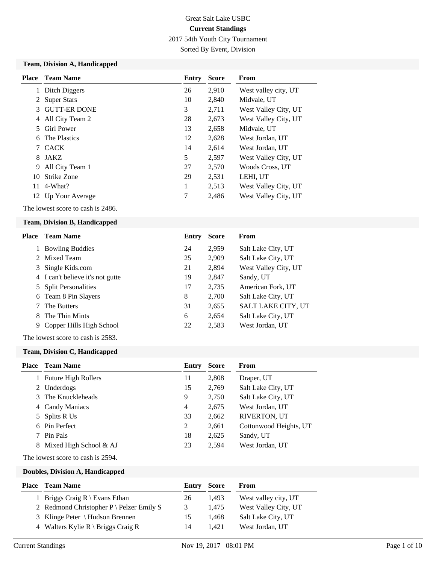2017 54th Youth City Tournament

Sorted By Event, Division

#### **Team, Division A, Handicapped**

|    | <b>Place</b> Team Name | Entry | <b>Score</b> | <b>From</b>          |
|----|------------------------|-------|--------------|----------------------|
|    | Ditch Diggers          | 26    | 2,910        | West valley city, UT |
|    | <b>Super Stars</b>     | 10    | 2.840        | Midvale, UT          |
| 3  | <b>GUTT-ER DONE</b>    | 3     | 2,711        | West Valley City, UT |
| 4  | All City Team 2        | 28    | 2,673        | West Valley City, UT |
| 5. | <b>Girl Power</b>      | 13    | 2,658        | Midvale, UT          |
| 6  | The Plastics           | 12    | 2,628        | West Jordan, UT      |
|    | <b>CACK</b>            | 14    | 2.614        | West Jordan, UT      |
| 8  | JAKZ                   | 5     | 2,597        | West Valley City, UT |
| 9  | All City Team 1        | 27    | 2,570        | Woods Cross, UT      |
| 10 | <b>Strike Zone</b>     | 29    | 2,531        | LEHI, UT             |
| 11 | 4-What?                | 1     | 2,513        | West Valley City, UT |
|    | 12 Up Your Average     | 7     | 2,486        | West Valley City, UT |

The lowest score to cash is 2486.

#### **Team, Division B, Handicapped**

| Place | <b>Team Name</b>                 | Entry | <b>Score</b> | From                      |
|-------|----------------------------------|-------|--------------|---------------------------|
|       | <b>Bowling Buddies</b>           | 24    | 2,959        | Salt Lake City, UT        |
|       | 2 Mixed Team                     | 25    | 2,909        | Salt Lake City, UT        |
| 3.    | Single Kids.com                  | 21    | 2,894        | West Valley City, UT      |
|       | 4 I can't believe it's not gutte | 19    | 2,847        | Sandy, UT                 |
|       | 5 Split Personalities            | 17    | 2,735        | American Fork, UT         |
|       | 6 Team 8 Pin Slayers             | 8     | 2,700        | Salt Lake City, UT        |
|       | The Butters                      | 31    | 2,655        | <b>SALT LAKE CITY, UT</b> |
| 8.    | The Thin Mints                   | 6     | 2,654        | Salt Lake City, UT        |
| 9     | Copper Hills High School         | 22    | 2,583        | West Jordan, UT           |

The lowest score to cash is 2583.

#### **Team, Division C, Handicapped**

|   | <b>Place</b> Team Name     | Entry          | <b>Score</b> | From                   |
|---|----------------------------|----------------|--------------|------------------------|
| 1 | <b>Future High Rollers</b> | 11             | 2,808        | Draper, UT             |
| 2 | Underdogs                  | 15             | 2,769        | Salt Lake City, UT     |
| 3 | The Knuckleheads           | 9              | 2,750        | Salt Lake City, UT     |
|   | 4 Candy Maniacs            | $\overline{4}$ | 2,675        | West Jordan, UT        |
|   | 5 Splits R Us              | 33             | 2,662        | <b>RIVERTON, UT</b>    |
|   | 6 Pin Perfect              | 2              | 2,661        | Cottonwood Heights, UT |
|   | Pin Pals                   | 18             | 2,625        | Sandy, UT              |
| 8 | Mixed High School & AJ     | 23             | 2,594        | West Jordan, UT        |

The lowest score to cash is 2594.

#### **Doubles, Division A, Handicapped**

| <b>Place</b> | <b>Team Name</b>                                   | <b>Entry Score</b> |       | From                 |
|--------------|----------------------------------------------------|--------------------|-------|----------------------|
|              | Briggs Craig $R \setminus$ Evans Ethan             | 26                 | 1.493 | West valley city, UT |
|              | 2 Redmond Christopher $P \setminus$ Pelzer Emily S |                    | 1.475 | West Valley City, UT |
|              | 3 Klinge Peter \ Hudson Brennen                    | 15                 | 1.468 | Salt Lake City, UT   |
|              | 4 Walters Kylie R \ Briggs Craig R                 | 14                 | 1.421 | West Jordan, UT      |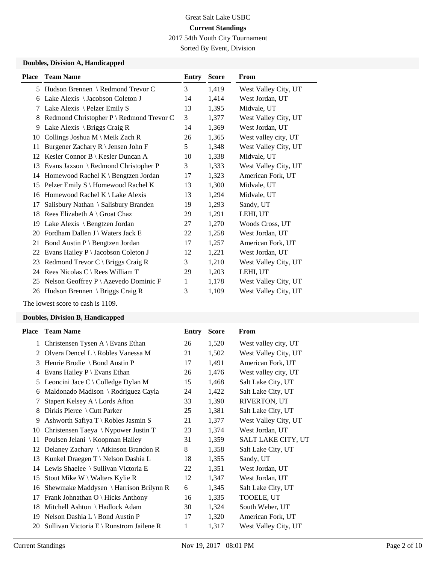2017 54th Youth City Tournament

Sorted By Event, Division

### **Doubles, Division A, Handicapped**

| <b>Place</b> | <b>Team Name</b>                                | Entry | <b>Score</b> | From                 |
|--------------|-------------------------------------------------|-------|--------------|----------------------|
|              | 5 Hudson Brennen \ Redmond Trevor C             | 3     | 1,419        | West Valley City, UT |
| 6            | Lake Alexis \ Jacobson Coleton J                | 14    | 1,414        | West Jordan, UT      |
| 7            | Lake Alexis \ Pelzer Emily S                    | 13    | 1,395        | Midvale, UT          |
| 8            | Redmond Christopher P \ Redmond Trevor C        | 3     | 1,377        | West Valley City, UT |
| 9            | Lake Alexis \ Briggs Craig R                    | 14    | 1,369        | West Jordan, UT      |
| 10           | Collings Joshua M \ Meik Zach R                 | 26    | 1,365        | West valley city, UT |
| 11           | Burgener Zachary R \ Jensen John F              | 5     | 1,348        | West Valley City, UT |
| 12           | Kesler Connor B \ Kesler Duncan A               | 10    | 1,338        | Midvale, UT          |
| 13           | Evans Jaxson \ Redmond Christopher P            | 3     | 1,333        | West Valley City, UT |
| 14           | Homewood Rachel $K \setminus$ Bengtzen Jordan   | 17    | 1,323        | American Fork, UT    |
| 15           | Pelzer Emily S \ Homewood Rachel K              | 13    | 1,300        | Midvale, UT          |
| 16           | Homewood Rachel K \ Lake Alexis                 | 13    | 1,294        | Midvale, UT          |
| 17           | Salisbury Nathan \ Salisbury Branden            | 19    | 1,293        | Sandy, UT            |
| 18           | Rees Elizabeth $A \setminus$ Groat Chaz         | 29    | 1,291        | LEHI, UT             |
| 19           | Lake Alexis \ Bengtzen Jordan                   | 27    | 1,270        | Woods Cross, UT      |
| 20           | Fordham Dallen J \ Waters Jack E                | 22    | 1,258        | West Jordan, UT      |
| 21           | Bond Austin P \ Bengtzen Jordan                 | 17    | 1,257        | American Fork, UT    |
| 22           | Evans Hailey P \ Jacobson Coleton J             | 12    | 1,221        | West Jordan, UT      |
| 23           | Redmond Trevor $C \setminus Briggs$ Craig R     | 3     | 1,210        | West Valley City, UT |
| 24           | Rees Nicolas $C \setminus$ Rees William T       | 29    | 1,203        | LEHI, UT             |
| 25           | Nelson Geoffrey $P \setminus$ Azevedo Dominic F | 1     | 1,178        | West Valley City, UT |
|              | 26 Hudson Brennen \ Briggs Craig R              | 3     | 1,109        | West Valley City, UT |

The lowest score to cash is 1109.

#### **Doubles, Division B, Handicapped**

| Place | <b>Team Name</b>                               | Entry | <b>Score</b> | From                 |
|-------|------------------------------------------------|-------|--------------|----------------------|
| 1     | Christensen Tysen $A \setminus E$ vans Ethan   | 26    | 1,520        | West valley city, UT |
| 2     | Olvera Dencel L $\setminus$ Robles Vanessa M   | 21    | 1,502        | West Valley City, UT |
| 3     | Henrie Brodie \ Bond Austin P                  | 17    | 1,491        | American Fork, UT    |
| 4     | Evans Hailey $P \setminus$ Evans Ethan         | 26    | 1,476        | West valley city, UT |
| 5     | Leoncini Jace C \ Colledge Dylan M             | 15    | 1,468        | Salt Lake City, UT   |
| 6     | Maldonado Madison \ Rodriguez Cayla            | 24    | 1,422        | Salt Lake City, UT   |
|       | Stapert Kelsey A \ Lords Afton                 | 33    | 1,390        | RIVERTON, UT         |
| 8     | Dirkis Pierce \ Cutt Parker                    | 25    | 1,381        | Salt Lake City, UT   |
| 9     | Ashworth Safiya T \ Robles Jasmin S            | 21    | 1,377        | West Valley City, UT |
| 10    | Christensen Taeya \ Nypower Justin T           | 23    | 1,374        | West Jordan, UT      |
| 11    | Poulsen Jelani \ Koopman Hailey                | 31    | 1,359        | SALT LAKE CITY, UT   |
| 12    | Delaney Zachary $\setminus$ Atkinson Brandon R | 8     | 1,358        | Salt Lake City, UT   |
| 13    | Kunkel Draegen T \ Nelson Dashia L             | 18    | 1,355        | Sandy, UT            |
| 14    | Lewis Shaelee \ Sullivan Victoria E            | 22    | 1,351        | West Jordan, UT      |
| 15    | Stout Mike $W \setminus W$ alters Kylie R      | 12    | 1,347        | West Jordan, UT      |
| 16    | Shewmake Maddysen $\{ \}$ Harrison Brilynn R   | 6     | 1,345        | Salt Lake City, UT   |
| 17    | Frank Johnathan O \ Hicks Anthony              | 16    | 1,335        | TOOELE, UT           |
| 18    | Mitchell Ashton \ Hadlock Adam                 | 30    | 1,324        | South Weber, UT      |
| 19    | Nelson Dashia L \ Bond Austin P                | 17    | 1,320        | American Fork, UT    |
| 20    | Sullivan Victoria E \ Runstrom Jailene R       | 1     | 1,317        | West Valley City, UT |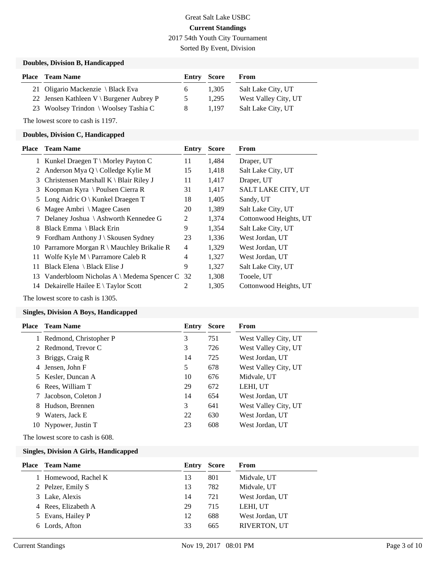# Great Salt Lake USBC **Current Standings** 2017 54th Youth City Tournament

Sorted By Event, Division

#### **Doubles, Division B, Handicapped**

| <b>Place</b> Team Name                                    |               | <b>Entry Score</b> | From                 |
|-----------------------------------------------------------|---------------|--------------------|----------------------|
| 21 Oligario Mackenzie \ Black Eva                         | 6.            | 1.305              | Salt Lake City, UT   |
| 22 Jensen Kathleen $V \setminus \text{Burgener Aubrey P}$ | $\mathcal{L}$ | 1.295              | West Valley City, UT |
| 23 Woolsey Trindon \ Woolsey Tashia C                     | 8             | 1.197              | Salt Lake City, UT   |

The lowest score to cash is 1197.

#### **Doubles, Division C, Handicapped**

| Place | <b>Team Name</b>                                       | Entry | <b>Score</b> | From                      |
|-------|--------------------------------------------------------|-------|--------------|---------------------------|
|       | 1 Kunkel Draegen $T \setminus$ Morley Payton C         | 11    | 1,484        | Draper, UT                |
|       | 2 Anderson Mya Q \ Colledge Kylie M                    | 15    | 1,418        | Salt Lake City, UT        |
| 3.    | Christensen Marshall $K \setminus$ Blair Riley J       | 11    | 1,417        | Draper, UT                |
| 3     | Koopman Kyra \ Poulsen Cierra R                        | 31    | 1,417        | <b>SALT LAKE CITY, UT</b> |
|       | 5 Long Aidric O   Kunkel Draegen T                     | 18    | 1,405        | Sandy, UT                 |
| 6     | Magee Ambri \ Magee Casen                              | 20    | 1,389        | Salt Lake City, UT        |
|       | 7 Delaney Joshua \ Ashworth Kennedee G                 | 2     | 1,374        | Cottonwood Heights, UT    |
| 8     | Black Emma \ Black Erin                                | 9     | 1,354        | Salt Lake City, UT        |
| 9.    | Fordham Anthony $J \setminus$ Skousen Sydney           | 23    | 1,336        | West Jordan, UT           |
|       | 10 Parramore Morgan $R \setminus M$ auchley Brikalie R | 4     | 1,329        | West Jordan, UT           |
| 11    | Wolfe Kyle M $\Gamma$ Parramore Caleb R                | 4     | 1,327        | West Jordan, UT           |
| 11    | Black Elena \ Black Elise J                            | 9     | 1,327        | Salt Lake City, UT        |
| 13    | Vanderbloom Nicholas A \ Medema Spencer C              | 32    | 1,308        | Tooele, UT                |
| 14    | Dekairelle Hailee $E \setminus Taylor$ Scott           | 2     | 1,305        | Cottonwood Heights, UT    |
|       |                                                        |       |              |                           |

The lowest score to cash is 1305.

#### **Singles, Division A Boys, Handicapped**

|    | <b>Place</b> Team Name | Entry | Score | From                 |
|----|------------------------|-------|-------|----------------------|
|    | Redmond, Christopher P | 3     | 751   | West Valley City, UT |
|    | 2 Redmond, Trevor C    | 3     | 726   | West Valley City, UT |
|    | 3 Briggs, Craig R      | 14    | 725   | West Jordan, UT      |
|    | 4 Jensen, John F       | 5     | 678   | West Valley City, UT |
|    | 5 Kesler, Duncan A     | 10    | 676   | Midvale, UT          |
|    | 6 Rees. William T      | 29    | 672   | LEHI, UT             |
|    | Jacobson, Coleton J    | 14    | 654   | West Jordan, UT      |
| 8. | Hudson, Brennen        | 3     | 641   | West Valley City, UT |
| -9 | Waters, Jack E         | 22    | 630   | West Jordan, UT      |
|    | 10 Nypower, Justin T   | 23    | 608   | West Jordan, UT      |

The lowest score to cash is 608.

#### **Singles, Division A Girls, Handicapped**

| <b>Place</b> Team Name | Entry | <b>Score</b> | From            |
|------------------------|-------|--------------|-----------------|
| 1 Homewood, Rachel K   | 13    | 801          | Midvale, UT     |
| 2 Pelzer, Emily S      | 13    | 782          | Midvale, UT     |
| 3 Lake, Alexis         | 14    | 721          | West Jordan, UT |
| 4 Rees, Elizabeth A    | 29    | 715          | LEHI, UT        |
| 5 Evans, Hailey P      | 12    | 688          | West Jordan, UT |
| 6 Lords, Afton         | 33    | 665          | RIVERTON, UT    |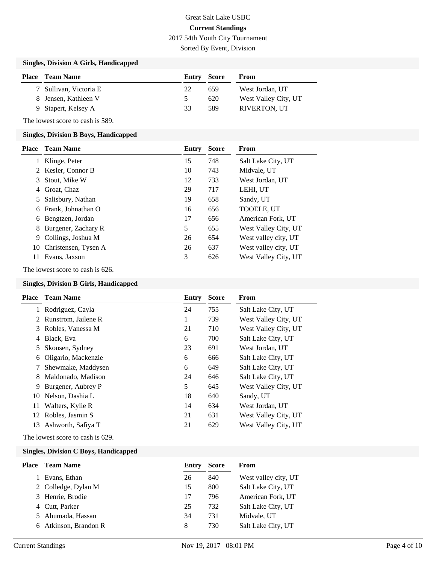# Great Salt Lake USBC **Current Standings** 2017 54th Youth City Tournament

Sorted By Event, Division

#### **Singles, Division A Girls, Handicapped**

| <b>Place</b> Team Name | <b>Entry Score</b> |     | From                 |
|------------------------|--------------------|-----|----------------------|
| 7 Sullivan, Victoria E | 22                 | 659 | West Jordan, UT      |
| 8 Jensen, Kathleen V   | $\mathcal{L}$      | 620 | West Valley City, UT |
| 9 Stapert, Kelsey A    | 33                 | 589 | <b>RIVERTON, UT</b>  |

The lowest score to cash is 589.

#### **Singles, Division B Boys, Handicapped**

| <b>Place</b> | <b>Team Name</b>        | Entry | <b>Score</b> | From                 |
|--------------|-------------------------|-------|--------------|----------------------|
|              | Klinge, Peter           | 15    | 748          | Salt Lake City, UT   |
|              | 2 Kesler, Connor B      | 10    | 743          | Midvale, UT          |
| 3            | Stout, Mike W           | 12    | 733          | West Jordan, UT      |
| 4            | Groat, Chaz             | 29    | 717          | LEHI, UT             |
| 5.           | Salisbury, Nathan       | 19    | 658          | Sandy, UT            |
| 6            | Frank, Johnathan O      | 16    | 656          | TOOELE, UT           |
| 6            | Bengtzen, Jordan        | 17    | 656          | American Fork, UT    |
| 8            | Burgener, Zachary R     | 5     | 655          | West Valley City, UT |
| 9            | Collings, Joshua M      | 26    | 654          | West valley city, UT |
|              | 10 Christensen, Tysen A | 26    | 637          | West valley city, UT |
| 11           | Evans, Jaxson           | 3     | 626          | West Valley City, UT |

The lowest score to cash is 626.

#### **Singles, Division B Girls, Handicapped**

|    | Place Team Name       | Entry | <b>Score</b> | From                 |
|----|-----------------------|-------|--------------|----------------------|
|    | 1 Rodriguez, Cayla    | 24    | 755          | Salt Lake City, UT   |
|    | 2 Runstrom, Jailene R |       | 739          | West Valley City, UT |
|    | 3 Robles, Vanessa M   | 21    | 710          | West Valley City, UT |
|    | 4 Black, Eva          | 6     | 700          | Salt Lake City, UT   |
|    | 5 Skousen, Sydney     | 23    | 691          | West Jordan, UT      |
|    | 6 Oligario, Mackenzie | 6     | 666          | Salt Lake City, UT   |
|    | 7 Shewmake, Maddysen  | 6     | 649          | Salt Lake City, UT   |
|    | 8 Maldonado, Madison  | 24    | 646          | Salt Lake City, UT   |
|    | 9 Burgener, Aubrey P  | 5     | 645          | West Valley City, UT |
| 10 | Nelson, Dashia L      | 18    | 640          | Sandy, UT            |
| 11 | Walters, Kylie R      | 14    | 634          | West Jordan, UT      |
| 12 | Robles, Jasmin S      | 21    | 631          | West Valley City, UT |
| 13 | Ashworth, Safiya T    | 21    | 629          | West Valley City, UT |

The lowest score to cash is 629.

#### **Singles, Division C Boys, Handicapped**

| Place | <b>Team Name</b>      | Entry | <b>Score</b> | From                 |
|-------|-----------------------|-------|--------------|----------------------|
|       | Evans, Ethan          | 26    | 840          | West valley city, UT |
|       | 2 Colledge, Dylan M   | 15    | 800          | Salt Lake City, UT   |
|       | 3 Henrie, Brodie      | 17    | 796          | American Fork, UT    |
|       | 4 Cutt, Parker        | 25    | 732          | Salt Lake City, UT   |
|       | 5 Ahumada, Hassan     | 34    | 731          | Midvale, UT          |
|       | 6 Atkinson, Brandon R | 8     | 730          | Salt Lake City, UT   |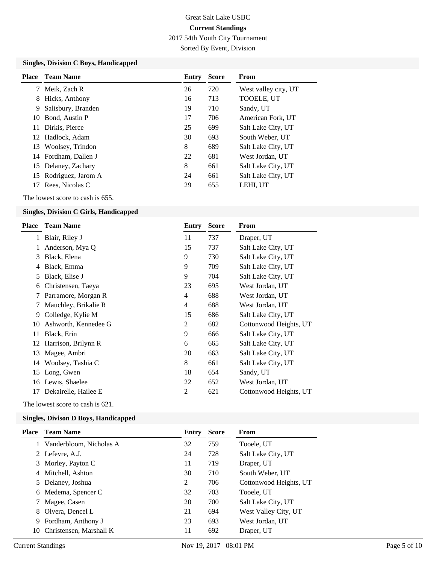2017 54th Youth City Tournament

Sorted By Event, Division

#### **Singles, Division C Boys, Handicapped**

| Place | Team Name             | Entry | <b>Score</b> | From                 |
|-------|-----------------------|-------|--------------|----------------------|
| 7     | Meik, Zach R          | 26    | 720          | West valley city, UT |
| 8     | Hicks, Anthony        | 16    | 713          | TOOELE, UT           |
| 9     | Salisbury, Branden    | 19    | 710          | Sandy, UT            |
|       | 10 Bond, Austin P     | 17    | 706          | American Fork, UT    |
| 11    | Dirkis, Pierce        | 25    | 699          | Salt Lake City, UT   |
|       | 12 Hadlock, Adam      | 30    | 693          | South Weber, UT      |
| 13    | Woolsey, Trindon      | 8     | 689          | Salt Lake City, UT   |
|       | 14 Fordham. Dallen J  | 22    | 681          | West Jordan, UT      |
|       | 15 Delaney, Zachary   | 8     | 661          | Salt Lake City, UT   |
|       | 15 Rodriguez, Jarom A | 24    | 661          | Salt Lake City, UT   |
| 17    | Rees, Nicolas C       | 29    | 655          | LEHI, UT             |

The lowest score to cash is 655.

## **Singles, Division C Girls, Handicapped**

| Place | <b>Team Name</b>      | Entry          | <b>Score</b> | From                   |
|-------|-----------------------|----------------|--------------|------------------------|
|       | 1 Blair, Riley J      | 11             | 737          | Draper, UT             |
|       | Anderson, Mya Q       | 15             | 737          | Salt Lake City, UT     |
| 3     | Black, Elena          | 9              | 730          | Salt Lake City, UT     |
| 4     | Black, Emma           | 9              | 709          | Salt Lake City, UT     |
| 5     | Black, Elise J        | 9              | 704          | Salt Lake City, UT     |
| 6     | Christensen, Taeya    | 23             | 695          | West Jordan, UT        |
|       | 7 Parramore, Morgan R | 4              | 688          | West Jordan, UT        |
| 7     | Mauchley, Brikalie R  | 4              | 688          | West Jordan, UT        |
| 9.    | Colledge, Kylie M     | 15             | 686          | Salt Lake City, UT     |
| 10    | Ashworth, Kennedee G  | $\overline{c}$ | 682          | Cottonwood Heights, UT |
| 11    | Black, Erin           | 9              | 666          | Salt Lake City, UT     |
| 12    | Harrison, Brilynn R   | 6              | 665          | Salt Lake City, UT     |
| 13    | Magee, Ambri          | 20             | 663          | Salt Lake City, UT     |
| 14    | Woolsey, Tashia C     | 8              | 661          | Salt Lake City, UT     |
| 15    | Long, Gwen            | 18             | 654          | Sandy, UT              |
| 16    | Lewis, Shaelee        | 22             | 652          | West Jordan, UT        |
| 17    | Dekairelle, Hailee E  | 2              | 621          | Cottonwood Heights, UT |
|       |                       |                |              |                        |

The lowest score to cash is 621.

## **Singles, Divison D Boys, Handicapped**

|    | <b>Place</b> Team Name  | Entry | <b>Score</b> | From                   |
|----|-------------------------|-------|--------------|------------------------|
|    | Vanderbloom, Nicholas A | 32    | 759          | Tooele, UT             |
|    | 2 Lefevre, A.J.         | 24    | 728          | Salt Lake City, UT     |
| 3  | Morley, Payton C        | 11    | 719          | Draper, UT             |
| 4  | Mitchell, Ashton        | 30    | 710          | South Weber, UT        |
|    | 5 Delaney, Joshua       | 2     | 706          | Cottonwood Heights, UT |
|    | 6 Medema, Spencer C     | 32    | 703          | Tooele, UT             |
|    | Magee, Casen            | 20    | 700          | Salt Lake City, UT     |
| 8. | Olvera, Dencel L        | 21    | 694          | West Valley City, UT   |
| 9. | Fordham, Anthony J      | 23    | 693          | West Jordan, UT        |
| 10 | Christensen, Marshall K | 11    | 692          | Draper, UT             |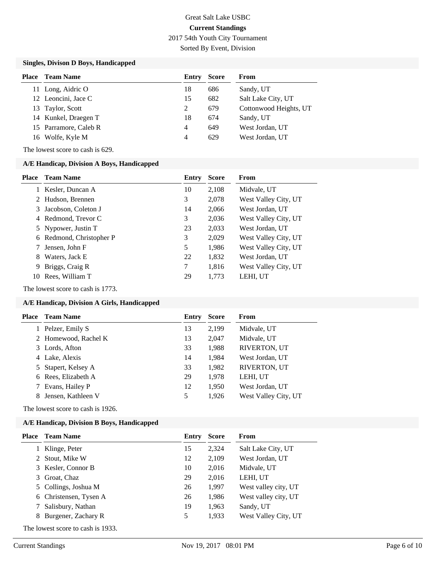2017 54th Youth City Tournament

Sorted By Event, Division

### **Singles, Divison D Boys, Handicapped**

| <b>Place</b> | <b>Team Name</b>      | Entry | <b>Score</b> | From                   |
|--------------|-----------------------|-------|--------------|------------------------|
|              | 11 Long, Aidric O     | 18    | 686          | Sandy, UT              |
|              | 12 Leoncini, Jace C   | 15    | 682          | Salt Lake City, UT     |
|              | 13 Taylor, Scott      | 2     | 679          | Cottonwood Heights, UT |
|              | 14 Kunkel, Draegen T  | 18    | 674          | Sandy, UT              |
|              | 15 Parramore, Caleb R | 4     | 649          | West Jordan, UT        |
|              | 16 Wolfe, Kyle M      | 4     | 629          | West Jordan, UT        |

The lowest score to cash is 629.

#### **A/E Handicap, Division A Boys, Handicapped**

| Place | <b>Team Name</b>         | Entry | <b>Score</b> | From                 |
|-------|--------------------------|-------|--------------|----------------------|
|       | Kesler, Duncan A         | 10    | 2,108        | Midvale, UT          |
|       | 2 Hudson, Brennen        | 3     | 2,078        | West Valley City, UT |
| 3.    | Jacobson, Coleton J      | 14    | 2.066        | West Jordan, UT      |
|       | 4 Redmond, Trevor C      | 3     | 2,036        | West Valley City, UT |
|       | 5 Nypower, Justin T      | 23    | 2,033        | West Jordan, UT      |
|       | 6 Redmond, Christopher P | 3     | 2,029        | West Valley City, UT |
|       | Jensen, John F           | 5     | 1,986        | West Valley City, UT |
| 8     | Waters, Jack E           | 22    | 1,832        | West Jordan, UT      |
| 9     | Briggs, Craig R          | 7     | 1.816        | West Valley City, UT |
| 10    | Rees, William T          | 29    | 1,773        | LEHI, UT             |

The lowest score to cash is 1773.

#### **A/E Handicap, Division A Girls, Handicapped**

| Place | <b>Team Name</b>     | Entry | <b>Score</b> | From                 |
|-------|----------------------|-------|--------------|----------------------|
| 1     | Pelzer, Emily S      | 13    | 2,199        | Midvale, UT          |
|       | 2 Homewood, Rachel K | 13    | 2,047        | Midvale, UT          |
|       | 3 Lords, Afton       | 33    | 1,988        | RIVERTON, UT         |
|       | 4 Lake, Alexis       | 14    | 1,984        | West Jordan, UT      |
|       | 5 Stapert, Kelsey A  | 33    | 1,982        | <b>RIVERTON, UT</b>  |
|       | 6 Rees, Elizabeth A  | 29    | 1,978        | LEHI, UT             |
|       | Evans, Hailey P      | 12    | 1,950        | West Jordan, UT      |
| 8     | Jensen, Kathleen V   | 5     | 1,926        | West Valley City, UT |
|       |                      |       |              |                      |

The lowest score to cash is 1926.

## **A/E Handicap, Division B Boys, Handicapped**

| Place | Team Name                         | Entry | <b>Score</b> | From                 |
|-------|-----------------------------------|-------|--------------|----------------------|
|       | Klinge, Peter                     | 15    | 2,324        | Salt Lake City, UT   |
|       | Stout, Mike W                     | 12    | 2,109        | West Jordan, UT      |
|       | 3 Kesler, Connor B                | 10    | 2,016        | Midvale, UT          |
| 3.    | Groat, Chaz                       | 29    | 2,016        | LEHI, UT             |
| 5.    | Collings, Joshua M                | 26    | 1,997        | West valley city, UT |
| 6.    | Christensen, Tysen A              | 26    | 1,986        | West valley city, UT |
|       | Salisbury, Nathan                 | 19    | 1,963        | Sandy, UT            |
| 8     | Burgener, Zachary R               | 5     | 1,933        | West Valley City, UT |
|       | The lowest score to cash is 1933. |       |              |                      |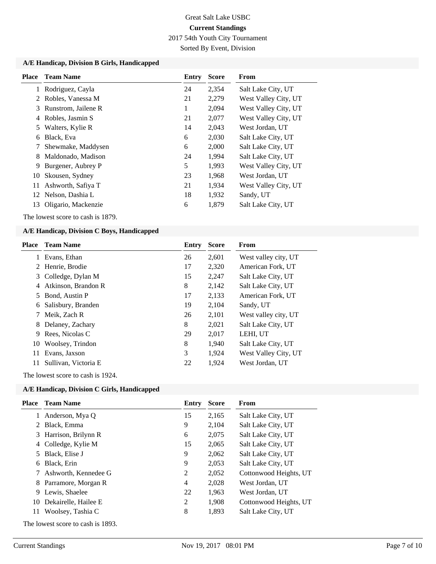2017 54th Youth City Tournament

Sorted By Event, Division

#### **A/E Handicap, Division B Girls, Handicapped**

|    | <b>Place</b> Team Name | Entry | <b>Score</b> | From                 |
|----|------------------------|-------|--------------|----------------------|
| 1  | Rodriguez, Cayla       | 24    | 2,354        | Salt Lake City, UT   |
| 2  | Robles, Vanessa M      | 21    | 2,279        | West Valley City, UT |
| 3  | Runstrom, Jailene R    | 1     | 2,094        | West Valley City, UT |
| 4  | Robles, Jasmin S       | 21    | 2,077        | West Valley City, UT |
| 5  | Walters, Kylie R       | 14    | 2,043        | West Jordan, UT      |
| 6  | Black, Eva             | 6     | 2,030        | Salt Lake City, UT   |
| 7  | Shewmake, Maddysen     | 6     | 2,000        | Salt Lake City, UT   |
| 8  | Maldonado, Madison     | 24    | 1,994        | Salt Lake City, UT   |
| 9  | Burgener, Aubrey P     | 5     | 1,993        | West Valley City, UT |
| 10 | Skousen, Sydney        | 23    | 1,968        | West Jordan, UT      |
| 11 | Ashworth, Safiya T     | 21    | 1,934        | West Valley City, UT |
| 12 | Nelson, Dashia L       | 18    | 1,932        | Sandy, UT            |
| 13 | Oligario, Mackenzie    | 6     | 1,879        | Salt Lake City, UT   |

The lowest score to cash is 1879.

#### **A/E Handicap, Division C Boys, Handicapped**

| <b>Place</b> | <b>Team Name</b>     | Entry | <b>Score</b> | From                 |
|--------------|----------------------|-------|--------------|----------------------|
| 1            | Evans, Ethan         | 26    | 2,601        | West valley city, UT |
|              | 2 Henrie, Brodie     | 17    | 2,320        | American Fork, UT    |
|              | 3 Colledge, Dylan M  | 15    | 2,247        | Salt Lake City, UT   |
| 4            | Atkinson, Brandon R  | 8     | 2,142        | Salt Lake City, UT   |
| 5.           | Bond, Austin P       | 17    | 2,133        | American Fork, UT    |
| 6            | Salisbury, Branden   | 19    | 2,104        | Sandy, UT            |
|              | Meik, Zach R         | 26    | 2,101        | West valley city, UT |
| 8            | Delaney, Zachary     | 8     | 2,021        | Salt Lake City, UT   |
| 9            | Rees, Nicolas C      | 29    | 2,017        | LEHI, UT             |
| 10           | Woolsey, Trindon     | 8     | 1,940        | Salt Lake City, UT   |
| 11           | Evans, Jaxson        | 3     | 1,924        | West Valley City, UT |
| 11           | Sullivan, Victoria E | 22    | 1,924        | West Jordan, UT      |

The lowest score to cash is 1924.

## **A/E Handicap, Division C Girls, Handicapped**

| Place    | <b>Team Name</b>       | Entry | <b>Score</b> | From                   |
|----------|------------------------|-------|--------------|------------------------|
| 1        | Anderson, Mya Q        | 15    | 2,165        | Salt Lake City, UT     |
|          | 2 Black, Emma          | 9     | 2,104        | Salt Lake City, UT     |
|          | 3 Harrison, Brilynn R  | 6     | 2,075        | Salt Lake City, UT     |
|          | 4 Colledge, Kylie M    | 15    | 2,065        | Salt Lake City, UT     |
|          | 5 Black, Elise J       | 9     | 2,062        | Salt Lake City, UT     |
| 6        | Black, Erin            | 9     | 2,053        | Salt Lake City, UT     |
|          | 7 Ashworth, Kennedee G | 2     | 2,052        | Cottonwood Heights, UT |
|          | 8 Parramore, Morgan R  | 4     | 2,028        | West Jordan, UT        |
| 9        | Lewis, Shaelee         | 22    | 1,963        | West Jordan, UT        |
| 10       | Dekairelle, Hailee E   | 2     | 1,908        | Cottonwood Heights, UT |
| 11       | Woolsey, Tashia C      | 8     | 1,893        | Salt Lake City, UT     |
| $\sim$ 1 |                        |       |              |                        |

The lowest score to cash is 1893.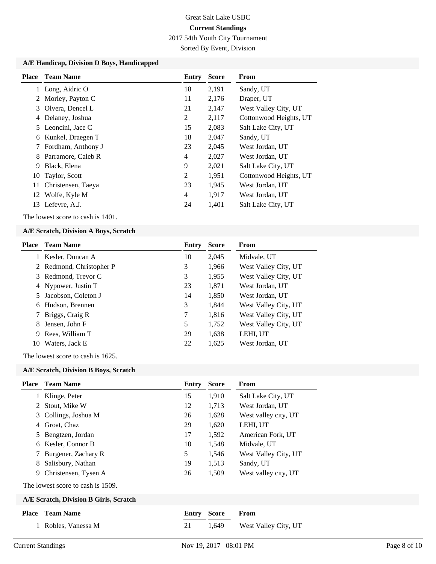2017 54th Youth City Tournament

Sorted By Event, Division

#### **A/E Handicap, Division D Boys, Handicapped**

|    | <b>Place</b> Team Name | Entry | <b>Score</b> | From                   |
|----|------------------------|-------|--------------|------------------------|
| 1  | Long, Aidric O         | 18    | 2,191        | Sandy, UT              |
|    | 2 Morley, Payton C     | 11    | 2,176        | Draper, UT             |
| 3  | Olvera, Dencel L       | 21    | 2,147        | West Valley City, UT   |
| 4  | Delaney, Joshua        | 2     | 2,117        | Cottonwood Heights, UT |
|    | 5 Leoncini, Jace C     | 15    | 2,083        | Salt Lake City, UT     |
| 6  | Kunkel, Draegen T      | 18    | 2,047        | Sandy, UT              |
| 7  | Fordham, Anthony J     | 23    | 2,045        | West Jordan, UT        |
| 8  | Parramore, Caleb R     | 4     | 2,027        | West Jordan, UT        |
| 9  | Black, Elena           | 9     | 2,021        | Salt Lake City, UT     |
|    | 10 Taylor, Scott       | 2     | 1,951        | Cottonwood Heights, UT |
| 11 | Christensen, Taeya     | 23    | 1,945        | West Jordan, UT        |
|    | 12 Wolfe, Kyle M       | 4     | 1,917        | West Jordan, UT        |
|    | 13 Lefevre, A.J.       | 24    | 1,401        | Salt Lake City, UT     |

The lowest score to cash is 1401.

#### **A/E Scratch, Division A Boys, Scratch**

|    | <b>Place</b> Team Name   | Entry | <b>Score</b> | <b>From</b>          |
|----|--------------------------|-------|--------------|----------------------|
|    | Kesler, Duncan A         | 10    | 2,045        | Midvale, UT          |
|    | 2 Redmond, Christopher P | 3     | 1,966        | West Valley City, UT |
|    | 3 Redmond, Trevor C      | 3     | 1,955        | West Valley City, UT |
|    | 4 Nypower, Justin T      | 23    | 1,871        | West Jordan, UT      |
| 5. | Jacobson, Coleton J      | 14    | 1,850        | West Jordan, UT      |
| 6  | Hudson, Brennen          | 3     | 1,844        | West Valley City, UT |
|    | Briggs, Craig R          | 7     | 1,816        | West Valley City, UT |
| 8  | Jensen, John F           | 5     | 1,752        | West Valley City, UT |
| 9  | Rees, William T          | 29    | 1,638        | LEHI, UT             |
| 10 | Waters, Jack E           | 22    | 1,625        | West Jordan, UT      |

The lowest score to cash is 1625.

#### **A/E Scratch, Division B Boys, Scratch**

| Place | <b>Team Name</b>                       | Entry | <b>Score</b> | From                 |
|-------|----------------------------------------|-------|--------------|----------------------|
|       | 1 Klinge, Peter                        | 15    | 1,910        | Salt Lake City, UT   |
| 2     | Stout, Mike W                          | 12    | 1,713        | West Jordan, UT      |
|       | 3 Collings, Joshua M                   | 26    | 1,628        | West valley city, UT |
| 4     | Groat, Chaz                            | 29    | 1,620        | LEHI, UT             |
| 5     | Bengtzen, Jordan                       | 17    | 1,592        | American Fork, UT    |
| 6     | Kesler, Connor B                       | 10    | 1,548        | Midvale, UT          |
|       | 7 Burgener, Zachary R                  | 5     | 1,546        | West Valley City, UT |
| 8     | Salisbury, Nathan                      | 19    | 1,513        | Sandy, UT            |
| 9     | Christensen, Tysen A                   | 26    | 1,509        | West valley city, UT |
|       | The lowest score to cash is 1509.      |       |              |                      |
|       | A/E Scratch, Division B Girls, Scratch |       |              |                      |
| Place | <b>Team Name</b>                       | Entry | <b>Score</b> | From                 |
|       | Robles, Vanessa M                      | 21    | 1,649        | West Valley City, UT |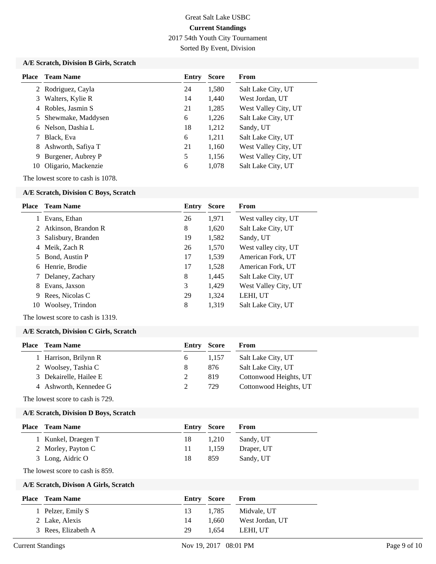2017 54th Youth City Tournament

Sorted By Event, Division

## **A/E Scratch, Division B Girls, Scratch**

| Place | <b>Team Name</b>     | Entry | <b>Score</b> | From                 |
|-------|----------------------|-------|--------------|----------------------|
|       | 2 Rodriguez, Cayla   | 24    | 1,580        | Salt Lake City, UT   |
| 3     | Walters, Kylie R     | 14    | 1,440        | West Jordan, UT      |
| 4     | Robles, Jasmin S     | 21    | 1,285        | West Valley City, UT |
|       | 5 Shewmake, Maddysen | 6     | 1,226        | Salt Lake City, UT   |
| 6     | Nelson, Dashia L     | 18    | 1,212        | Sandy, UT            |
|       | Black, Eva           | 6     | 1,211        | Salt Lake City, UT   |
| 8     | Ashworth, Safiya T   | 21    | 1,160        | West Valley City, UT |
| 9     | Burgener, Aubrey P   | 5     | 1,156        | West Valley City, UT |
| 10    | Oligario, Mackenzie  | 6     | 1,078        | Salt Lake City, UT   |

The lowest score to cash is 1078.

### **A/E Scratch, Division C Boys, Scratch**

| Place | <b>Team Name</b>      | Entry | <b>Score</b> | From                 |
|-------|-----------------------|-------|--------------|----------------------|
|       | Evans, Ethan          | 26    | 1,971        | West valley city, UT |
|       | 2 Atkinson, Brandon R | 8     | 1,620        | Salt Lake City, UT   |
|       | 3 Salisbury, Branden  | 19    | 1,582        | Sandy, UT            |
| 4     | Meik, Zach R          | 26    | 1,570        | West valley city, UT |
|       | 5 Bond, Austin P      | 17    | 1,539        | American Fork, UT    |
|       | 6 Henrie, Brodie      | 17    | 1,528        | American Fork, UT    |
|       | 7 Delaney, Zachary    | 8     | 1,445        | Salt Lake City, UT   |
| 8     | Evans, Jaxson         | 3     | 1,429        | West Valley City, UT |
| 9     | Rees, Nicolas C       | 29    | 1,324        | LEHI, UT             |
| 10    | Woolsey, Trindon      | 8     | 1,319        | Salt Lake City, UT   |
|       |                       |       |              |                      |

The lowest score to cash is 1319.

### **A/E Scratch, Division C Girls, Scratch**

| Place | <b>Team Name</b>       | <b>Entry Score</b> |       | From                   |
|-------|------------------------|--------------------|-------|------------------------|
|       | 1 Harrison, Brilynn R  | 6                  | 1.157 | Salt Lake City, UT     |
|       | 2 Woolsey, Tashia C    | 8                  | 876   | Salt Lake City, UT     |
|       | 3 Dekairelle, Hailee E |                    | 819   | Cottonwood Heights, UT |
|       | 4 Ashworth, Kennedee G |                    | 729   | Cottonwood Heights, UT |
|       |                        |                    |       |                        |

The lowest score to cash is 729.

#### **A/E Scratch, Division D Boys, Scratch**

| <b>Place – Team Name</b> | Entry Score |        | From       |
|--------------------------|-------------|--------|------------|
| 1 Kunkel, Draegen T      | 18          | -1.210 | Sandy, UT  |
| 2 Morley, Payton C       | 11.         | 1.159  | Draper, UT |
| 3 Long, Aidric O         | 18          | 859    | Sandy, UT  |

The lowest score to cash is 859.

#### **A/E Scratch, Divison A Girls, Scratch**

| <b>Place</b> Team Name |    | <b>Entry Score</b> | <b>From</b>     |
|------------------------|----|--------------------|-----------------|
| 1 Pelzer, Emily S      | 13 | 1.785              | Midvale, UT     |
| 2 Lake, Alexis         | 14 | 1.660              | West Jordan, UT |
| 3 Rees, Elizabeth A    | 29 | 1.654              | LEHI. UT        |